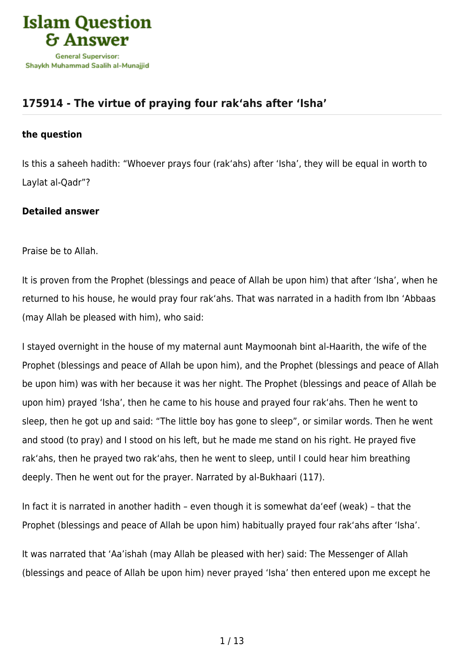

# **[175914 - The virtue of praying four rak'ahs after 'Isha'](https://islamqa.com/en/answers/175914/the-virtue-of-praying-four-rakahs-after-isha)**

#### **the question**

Is this a saheeh hadith: "Whoever prays four (rak'ahs) after 'Isha', they will be equal in worth to Laylat al-Qadr"?

# **Detailed answer**

Praise be to Allah.

It is proven from the Prophet (blessings and peace of Allah be upon him) that after 'Isha', when he returned to his house, he would pray four rak'ahs. That was narrated in a hadith from Ibn 'Abbaas (may Allah be pleased with him), who said:

I stayed overnight in the house of my maternal aunt Maymoonah bint al-Haarith, the wife of the Prophet (blessings and peace of Allah be upon him), and the Prophet (blessings and peace of Allah be upon him) was with her because it was her night. The Prophet (blessings and peace of Allah be upon him) prayed 'Isha', then he came to his house and prayed four rak'ahs. Then he went to sleep, then he got up and said: "The little boy has gone to sleep", or similar words. Then he went and stood (to pray) and I stood on his left, but he made me stand on his right. He prayed five rak'ahs, then he prayed two rak'ahs, then he went to sleep, until I could hear him breathing deeply. Then he went out for the prayer. Narrated by al-Bukhaari (117).

In fact it is narrated in another hadith – even though it is somewhat da'eef (weak) – that the Prophet (blessings and peace of Allah be upon him) habitually prayed four rak'ahs after 'Isha'.

It was narrated that 'Aa'ishah (may Allah be pleased with her) said: The Messenger of Allah (blessings and peace of Allah be upon him) never prayed 'Isha' then entered upon me except he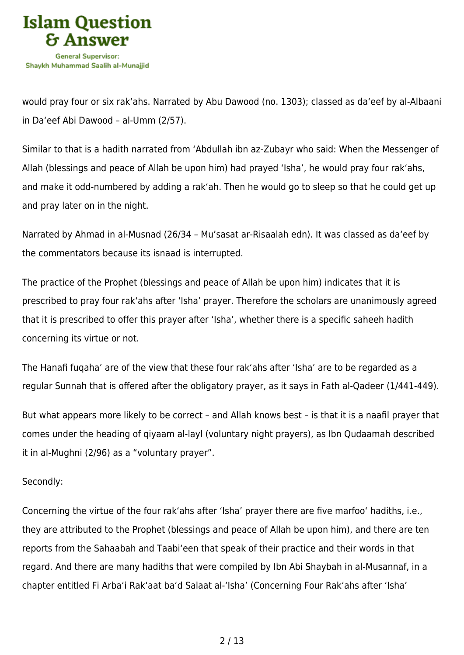

would pray four or six rak'ahs. Narrated by Abu Dawood (no. 1303); classed as da'eef by al-Albaani in Da'eef Abi Dawood – al-Umm (2/57).

Similar to that is a hadith narrated from 'Abdullah ibn az-Zubayr who said: When the Messenger of Allah (blessings and peace of Allah be upon him) had prayed 'Isha', he would pray four rak'ahs, and make it odd-numbered by adding a rak'ah. Then he would go to sleep so that he could get up and pray later on in the night.

Narrated by Ahmad in al-Musnad (26/34 – Mu'sasat ar-Risaalah edn). It was classed as da'eef by the commentators because its isnaad is interrupted.

The practice of the Prophet (blessings and peace of Allah be upon him) indicates that it is prescribed to pray four rak'ahs after 'Isha' prayer. Therefore the scholars are unanimously agreed that it is prescribed to offer this prayer after 'Isha', whether there is a specific saheeh hadith concerning its virtue or not.

The Hanafi fuqaha' are of the view that these four rak'ahs after 'Isha' are to be regarded as a regular Sunnah that is offered after the obligatory prayer, as it says in Fath al-Qadeer (1/441-449).

But what appears more likely to be correct – and Allah knows best – is that it is a naafil prayer that comes under the heading of qiyaam al-layl (voluntary night prayers), as Ibn Qudaamah described it in al-Mughni (2/96) as a "voluntary prayer".

# Secondly:

Concerning the virtue of the four rak'ahs after 'Isha' prayer there are five marfoo' hadiths, i.e., they are attributed to the Prophet (blessings and peace of Allah be upon him), and there are ten reports from the Sahaabah and Taabi'een that speak of their practice and their words in that regard. And there are many hadiths that were compiled by Ibn Abi Shaybah in al-Musannaf, in a chapter entitled Fi Arba'i Rak'aat ba'd Salaat al-'Isha' (Concerning Four Rak'ahs after 'Isha'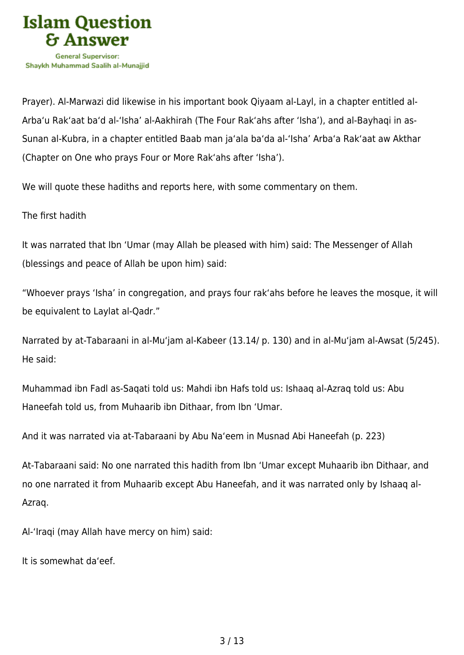

Prayer). Al-Marwazi did likewise in his important book Qiyaam al-Layl, in a chapter entitled al-Arba'u Rak'aat ba'd al-'Isha' al-Aakhirah (The Four Rak'ahs after 'Isha'), and al-Bayhaqi in as-Sunan al-Kubra, in a chapter entitled Baab man ja'ala ba'da al-'Isha' Arba'a Rak'aat aw Akthar (Chapter on One who prays Four or More Rak'ahs after 'Isha').

We will quote these hadiths and reports here, with some commentary on them.

The first hadith

It was narrated that Ibn 'Umar (may Allah be pleased with him) said: The Messenger of Allah (blessings and peace of Allah be upon him) said:

"Whoever prays 'Isha' in congregation, and prays four rak'ahs before he leaves the mosque, it will be equivalent to Laylat al-Qadr."

Narrated by at-Tabaraani in al-Mu'jam al-Kabeer (13.14/ p. 130) and in al-Mu'jam al-Awsat (5/245). He said:

Muhammad ibn Fadl as-Saqati told us: Mahdi ibn Hafs told us: Ishaaq al-Azraq told us: Abu Haneefah told us, from Muhaarib ibn Dithaar, from Ibn 'Umar.

And it was narrated via at-Tabaraani by Abu Na'eem in Musnad Abi Haneefah (p. 223)

At-Tabaraani said: No one narrated this hadith from Ibn 'Umar except Muhaarib ibn Dithaar, and no one narrated it from Muhaarib except Abu Haneefah, and it was narrated only by Ishaaq al-Azraq.

Al-'Iraqi (may Allah have mercy on him) said:

It is somewhat da'eef.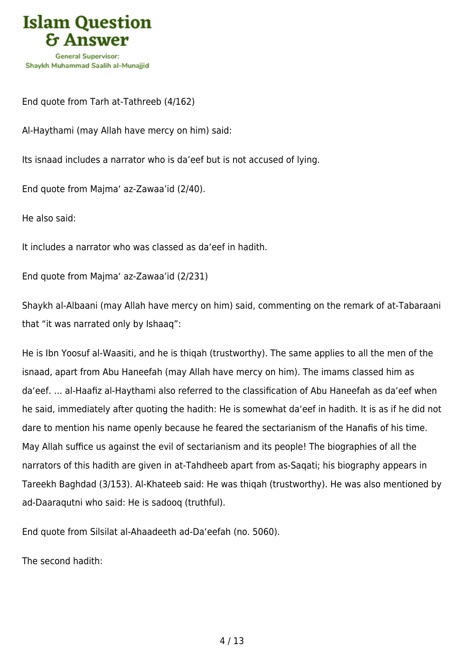

End quote from Tarh at-Tathreeb (4/162)

Al-Haythami (may Allah have mercy on him) said:

Its isnaad includes a narrator who is da'eef but is not accused of lying.

End quote from Majma' az-Zawaa'id (2/40).

He also said:

It includes a narrator who was classed as da'eef in hadith.

End quote from Majma' az-Zawaa'id (2/231)

Shaykh al-Albaani (may Allah have mercy on him) said, commenting on the remark of at-Tabaraani that "it was narrated only by Ishaaq":

He is Ibn Yoosuf al-Waasiti, and he is thiqah (trustworthy). The same applies to all the men of the isnaad, apart from Abu Haneefah (may Allah have mercy on him). The imams classed him as da'eef. … al-Haafiz al-Haythami also referred to the classification of Abu Haneefah as da'eef when he said, immediately after quoting the hadith: He is somewhat da'eef in hadith. It is as if he did not dare to mention his name openly because he feared the sectarianism of the Hanafis of his time. May Allah suffice us against the evil of sectarianism and its people! The biographies of all the narrators of this hadith are given in at-Tahdheeb apart from as-Saqati; his biography appears in Tareekh Baghdad (3/153). Al-Khateeb said: He was thiqah (trustworthy). He was also mentioned by ad-Daaraqutni who said: He is sadooq (truthful).

End quote from Silsilat al-Ahaadeeth ad-Da'eefah (no. 5060).

The second hadith: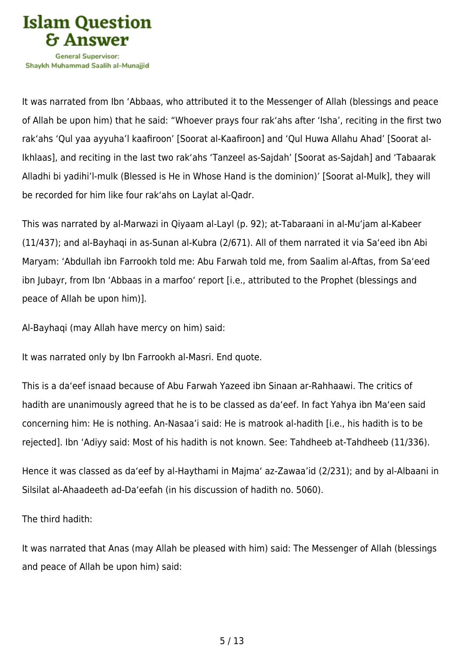

It was narrated from Ibn 'Abbaas, who attributed it to the Messenger of Allah (blessings and peace of Allah be upon him) that he said: "Whoever prays four rak'ahs after 'Isha', reciting in the first two rak'ahs 'Qul yaa ayyuha'l kaafiroon' [Soorat al-Kaafiroon] and 'Qul Huwa Allahu Ahad' [Soorat al-Ikhlaas], and reciting in the last two rak'ahs 'Tanzeel as-Sajdah' [Soorat as-Sajdah] and 'Tabaarak Alladhi bi yadihi'l-mulk (Blessed is He in Whose Hand is the dominion)' [Soorat al-Mulk], they will be recorded for him like four rak'ahs on Laylat al-Qadr.

This was narrated by al-Marwazi in Qiyaam al-Layl (p. 92); at-Tabaraani in al-Mu'jam al-Kabeer (11/437); and al-Bayhaqi in as-Sunan al-Kubra (2/671). All of them narrated it via Sa'eed ibn Abi Maryam: 'Abdullah ibn Farrookh told me: Abu Farwah told me, from Saalim al-Aftas, from Sa'eed ibn Jubayr, from Ibn 'Abbaas in a marfoo' report [i.e., attributed to the Prophet (blessings and peace of Allah be upon him)].

Al-Bayhaqi (may Allah have mercy on him) said:

It was narrated only by Ibn Farrookh al-Masri. End quote.

This is a da'eef isnaad because of Abu Farwah Yazeed ibn Sinaan ar-Rahhaawi. The critics of hadith are unanimously agreed that he is to be classed as da'eef. In fact Yahya ibn Ma'een said concerning him: He is nothing. An-Nasaa'i said: He is matrook al-hadith [i.e., his hadith is to be rejected]. Ibn 'Adiyy said: Most of his hadith is not known. See: Tahdheeb at-Tahdheeb (11/336).

Hence it was classed as da'eef by al-Haythami in Majma' az-Zawaa'id (2/231); and by al-Albaani in Silsilat al-Ahaadeeth ad-Da'eefah (in his discussion of hadith no. 5060).

The third hadith:

It was narrated that Anas (may Allah be pleased with him) said: The Messenger of Allah (blessings and peace of Allah be upon him) said: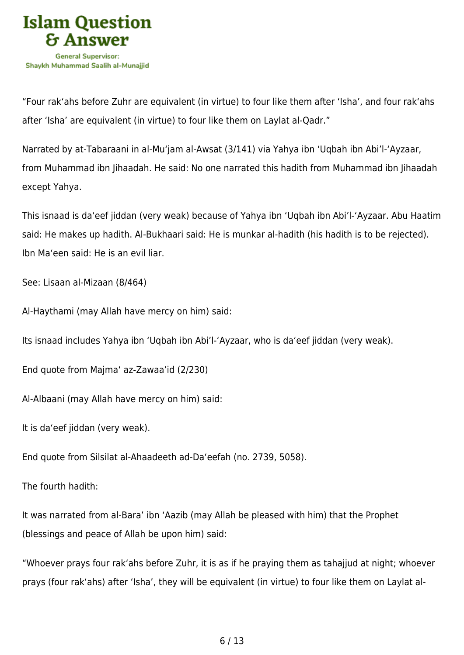

"Four rak'ahs before Zuhr are equivalent (in virtue) to four like them after 'Isha', and four rak'ahs after 'Isha' are equivalent (in virtue) to four like them on Laylat al-Qadr."

Narrated by at-Tabaraani in al-Mu'jam al-Awsat (3/141) via Yahya ibn 'Uqbah ibn Abi'l-'Ayzaar, from Muhammad ibn Jihaadah. He said: No one narrated this hadith from Muhammad ibn Jihaadah except Yahya.

This isnaad is da'eef jiddan (very weak) because of Yahya ibn 'Uqbah ibn Abi'l-'Ayzaar. Abu Haatim said: He makes up hadith. Al-Bukhaari said: He is munkar al-hadith (his hadith is to be rejected). Ibn Ma'een said: He is an evil liar.

See: Lisaan al-Mizaan (8/464)

Al-Haythami (may Allah have mercy on him) said:

Its isnaad includes Yahya ibn 'Uqbah ibn Abi'l-'Ayzaar, who is da'eef jiddan (very weak).

End quote from Majma' az-Zawaa'id (2/230)

Al-Albaani (may Allah have mercy on him) said:

It is da'eef jiddan (very weak).

End quote from Silsilat al-Ahaadeeth ad-Da'eefah (no. 2739, 5058).

The fourth hadith:

It was narrated from al-Bara' ibn 'Aazib (may Allah be pleased with him) that the Prophet (blessings and peace of Allah be upon him) said:

"Whoever prays four rak'ahs before Zuhr, it is as if he praying them as tahajjud at night; whoever prays (four rak'ahs) after 'Isha', they will be equivalent (in virtue) to four like them on Laylat al-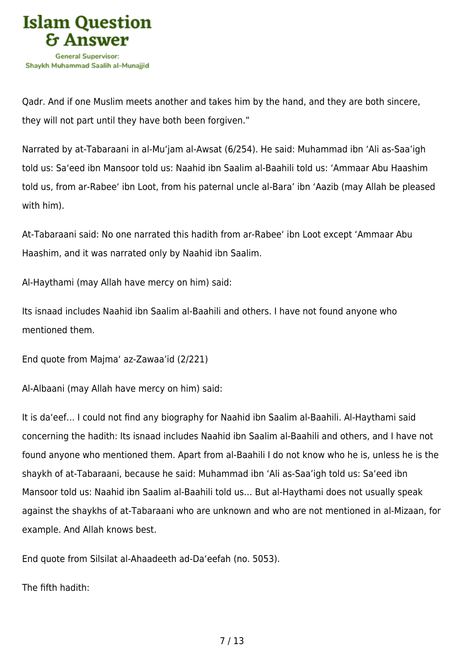

Qadr. And if one Muslim meets another and takes him by the hand, and they are both sincere, they will not part until they have both been forgiven."

Narrated by at-Tabaraani in al-Mu'jam al-Awsat (6/254). He said: Muhammad ibn 'Ali as-Saa'igh told us: Sa'eed ibn Mansoor told us: Naahid ibn Saalim al-Baahili told us: 'Ammaar Abu Haashim told us, from ar-Rabee' ibn Loot, from his paternal uncle al-Bara' ibn 'Aazib (may Allah be pleased with him).

At-Tabaraani said: No one narrated this hadith from ar-Rabee' ibn Loot except 'Ammaar Abu Haashim, and it was narrated only by Naahid ibn Saalim.

Al-Haythami (may Allah have mercy on him) said:

Its isnaad includes Naahid ibn Saalim al-Baahili and others. I have not found anyone who mentioned them.

End quote from Majma' az-Zawaa'id (2/221)

Al-Albaani (may Allah have mercy on him) said:

It is da'eef… I could not find any biography for Naahid ibn Saalim al-Baahili. Al-Haythami said concerning the hadith: Its isnaad includes Naahid ibn Saalim al-Baahili and others, and I have not found anyone who mentioned them. Apart from al-Baahili I do not know who he is, unless he is the shaykh of at-Tabaraani, because he said: Muhammad ibn 'Ali as-Saa'igh told us: Sa'eed ibn Mansoor told us: Naahid ibn Saalim al-Baahili told us… But al-Haythami does not usually speak against the shaykhs of at-Tabaraani who are unknown and who are not mentioned in al-Mizaan, for example. And Allah knows best.

End quote from Silsilat al-Ahaadeeth ad-Da'eefah (no. 5053).

The fifth hadith: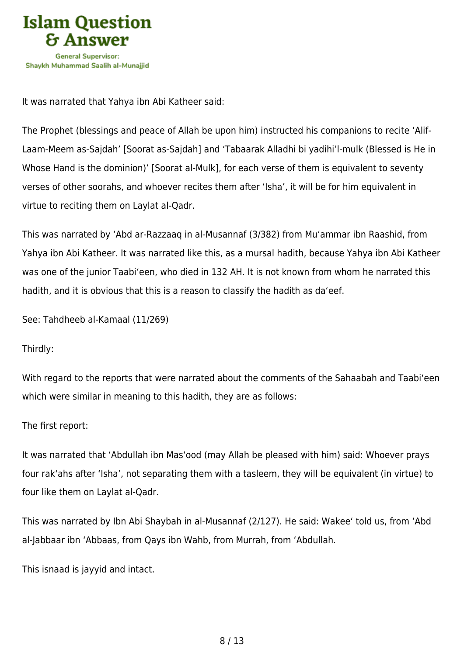

It was narrated that Yahya ibn Abi Katheer said:

The Prophet (blessings and peace of Allah be upon him) instructed his companions to recite 'Alif-Laam-Meem as-Sajdah' [Soorat as-Sajdah] and 'Tabaarak Alladhi bi yadihi'l-mulk (Blessed is He in Whose Hand is the dominion)' [Soorat al-Mulk], for each verse of them is equivalent to seventy verses of other soorahs, and whoever recites them after 'Isha', it will be for him equivalent in virtue to reciting them on Laylat al-Qadr.

This was narrated by 'Abd ar-Razzaaq in al-Musannaf (3/382) from Mu'ammar ibn Raashid, from Yahya ibn Abi Katheer. It was narrated like this, as a mursal hadith, because Yahya ibn Abi Katheer was one of the junior Taabi'een, who died in 132 AH. It is not known from whom he narrated this hadith, and it is obvious that this is a reason to classify the hadith as da'eef.

See: Tahdheeb al-Kamaal (11/269)

Thirdly:

With regard to the reports that were narrated about the comments of the Sahaabah and Taabi'een which were similar in meaning to this hadith, they are as follows:

The first report:

It was narrated that 'Abdullah ibn Mas'ood (may Allah be pleased with him) said: Whoever prays four rak'ahs after 'Isha', not separating them with a tasleem, they will be equivalent (in virtue) to four like them on Laylat al-Qadr.

This was narrated by Ibn Abi Shaybah in al-Musannaf (2/127). He said: Wakee' told us, from 'Abd al-Jabbaar ibn 'Abbaas, from Qays ibn Wahb, from Murrah, from 'Abdullah.

This isnaad is jayyid and intact.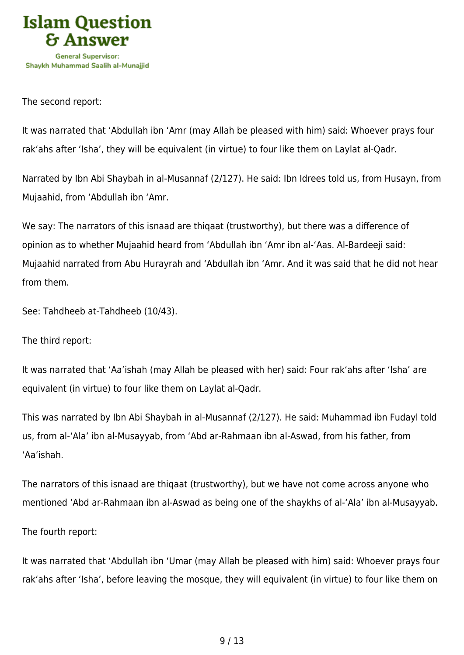

#### The second report:

It was narrated that 'Abdullah ibn 'Amr (may Allah be pleased with him) said: Whoever prays four rak'ahs after 'Isha', they will be equivalent (in virtue) to four like them on Laylat al-Qadr.

Narrated by Ibn Abi Shaybah in al-Musannaf (2/127). He said: Ibn Idrees told us, from Husayn, from Mujaahid, from 'Abdullah ibn 'Amr.

We say: The narrators of this isnaad are thiqaat (trustworthy), but there was a difference of opinion as to whether Mujaahid heard from 'Abdullah ibn 'Amr ibn al-'Aas. Al-Bardeeji said: Mujaahid narrated from Abu Hurayrah and 'Abdullah ibn 'Amr. And it was said that he did not hear from them.

See: Tahdheeb at-Tahdheeb (10/43).

The third report:

It was narrated that 'Aa'ishah (may Allah be pleased with her) said: Four rak'ahs after 'Isha' are equivalent (in virtue) to four like them on Laylat al-Qadr.

This was narrated by Ibn Abi Shaybah in al-Musannaf (2/127). He said: Muhammad ibn Fudayl told us, from al-'Ala' ibn al-Musayyab, from 'Abd ar-Rahmaan ibn al-Aswad, from his father, from 'Aa'ishah.

The narrators of this isnaad are thiqaat (trustworthy), but we have not come across anyone who mentioned 'Abd ar-Rahmaan ibn al-Aswad as being one of the shaykhs of al-'Ala' ibn al-Musayyab.

The fourth report:

It was narrated that 'Abdullah ibn 'Umar (may Allah be pleased with him) said: Whoever prays four rak'ahs after 'Isha', before leaving the mosque, they will equivalent (in virtue) to four like them on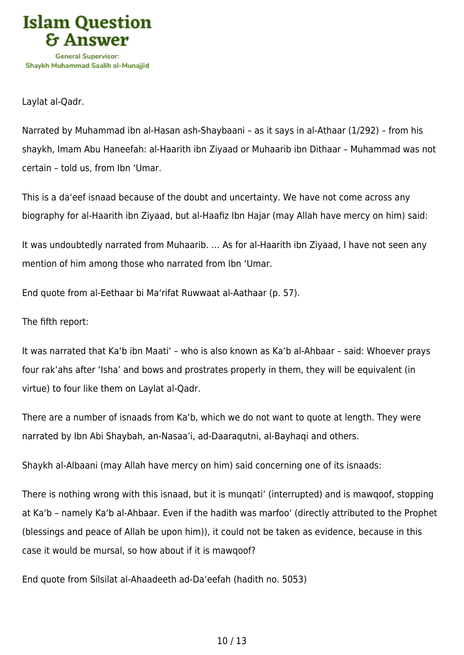

Laylat al-Qadr.

Narrated by Muhammad ibn al-Hasan ash-Shaybaani – as it says in al-Athaar (1/292) – from his shaykh, Imam Abu Haneefah: al-Haarith ibn Ziyaad or Muhaarib ibn Dithaar – Muhammad was not certain – told us, from Ibn 'Umar.

This is a da'eef isnaad because of the doubt and uncertainty. We have not come across any biography for al-Haarith ibn Ziyaad, but al-Haafiz Ibn Hajar (may Allah have mercy on him) said:

It was undoubtedly narrated from Muhaarib. … As for al-Haarith ibn Ziyaad, I have not seen any mention of him among those who narrated from Ibn 'Umar.

End quote from al-Eethaar bi Ma'rifat Ruwwaat al-Aathaar (p. 57).

The fifth report:

It was narrated that Ka'b ibn Maati' – who is also known as Ka'b al-Ahbaar – said: Whoever prays four rak'ahs after 'Isha' and bows and prostrates properly in them, they will be equivalent (in virtue) to four like them on Laylat al-Qadr.

There are a number of isnaads from Ka'b, which we do not want to quote at length. They were narrated by Ibn Abi Shaybah, an-Nasaa'i, ad-Daaraqutni, al-Bayhaqi and others.

Shaykh al-Albaani (may Allah have mercy on him) said concerning one of its isnaads:

There is nothing wrong with this isnaad, but it is munqati' (interrupted) and is mawqoof, stopping at Ka'b – namely Ka'b al-Ahbaar. Even if the hadith was marfoo' (directly attributed to the Prophet (blessings and peace of Allah be upon him)), it could not be taken as evidence, because in this case it would be mursal, so how about if it is mawqoof?

End quote from Silsilat al-Ahaadeeth ad-Da'eefah (hadith no. 5053)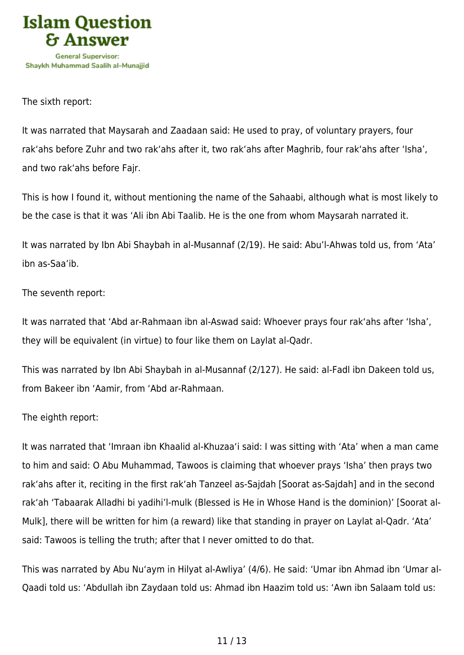

#### The sixth report:

It was narrated that Maysarah and Zaadaan said: He used to pray, of voluntary prayers, four rak'ahs before Zuhr and two rak'ahs after it, two rak'ahs after Maghrib, four rak'ahs after 'Isha', and two rak'ahs before Fajr.

This is how I found it, without mentioning the name of the Sahaabi, although what is most likely to be the case is that it was 'Ali ibn Abi Taalib. He is the one from whom Maysarah narrated it.

It was narrated by Ibn Abi Shaybah in al-Musannaf (2/19). He said: Abu'l-Ahwas told us, from 'Ata' ibn as-Saa'ib.

The seventh report:

It was narrated that 'Abd ar-Rahmaan ibn al-Aswad said: Whoever prays four rak'ahs after 'Isha', they will be equivalent (in virtue) to four like them on Laylat al-Qadr.

This was narrated by Ibn Abi Shaybah in al-Musannaf (2/127). He said: al-Fadl ibn Dakeen told us, from Bakeer ibn 'Aamir, from 'Abd ar-Rahmaan.

# The eighth report:

It was narrated that 'Imraan ibn Khaalid al-Khuzaa'i said: I was sitting with 'Ata' when a man came to him and said: O Abu Muhammad, Tawoos is claiming that whoever prays 'Isha' then prays two rak'ahs after it, reciting in the first rak'ah Tanzeel as-Sajdah [Soorat as-Sajdah] and in the second rak'ah 'Tabaarak Alladhi bi yadihi'l-mulk (Blessed is He in Whose Hand is the dominion)' [Soorat al-Mulk], there will be written for him (a reward) like that standing in prayer on Laylat al-Qadr. 'Ata' said: Tawoos is telling the truth; after that I never omitted to do that.

This was narrated by Abu Nu'aym in Hilyat al-Awliya' (4/6). He said: 'Umar ibn Ahmad ibn 'Umar al-Qaadi told us: 'Abdullah ibn Zaydaan told us: Ahmad ibn Haazim told us: 'Awn ibn Salaam told us:

# 11 / 13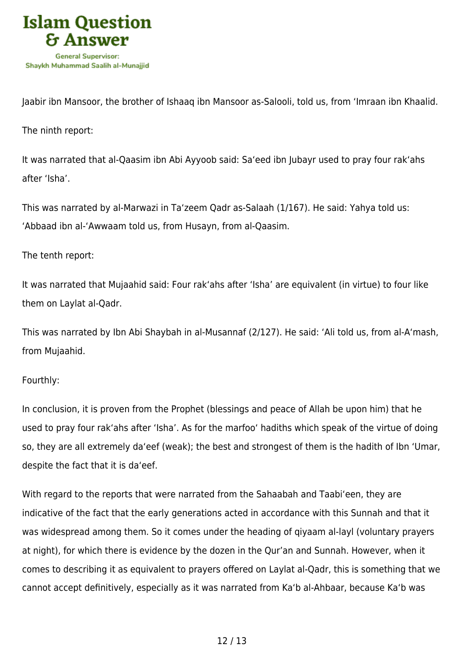

Jaabir ibn Mansoor, the brother of Ishaaq ibn Mansoor as-Salooli, told us, from 'Imraan ibn Khaalid.

The ninth report:

It was narrated that al-Qaasim ibn Abi Ayyoob said: Sa'eed ibn Jubayr used to pray four rak'ahs after 'Isha'.

This was narrated by al-Marwazi in Ta'zeem Qadr as-Salaah (1/167). He said: Yahya told us: 'Abbaad ibn al-'Awwaam told us, from Husayn, from al-Qaasim.

# The tenth report:

It was narrated that Mujaahid said: Four rak'ahs after 'Isha' are equivalent (in virtue) to four like them on Laylat al-Qadr.

This was narrated by Ibn Abi Shaybah in al-Musannaf (2/127). He said: 'Ali told us, from al-A'mash, from Mujaahid.

# Fourthly:

In conclusion, it is proven from the Prophet (blessings and peace of Allah be upon him) that he used to pray four rak'ahs after 'Isha'. As for the marfoo' hadiths which speak of the virtue of doing so, they are all extremely da'eef (weak); the best and strongest of them is the hadith of Ibn 'Umar, despite the fact that it is da'eef.

With regard to the reports that were narrated from the Sahaabah and Taabi'een, they are indicative of the fact that the early generations acted in accordance with this Sunnah and that it was widespread among them. So it comes under the heading of qiyaam al-layl (voluntary prayers at night), for which there is evidence by the dozen in the Qur'an and Sunnah. However, when it comes to describing it as equivalent to prayers offered on Laylat al-Qadr, this is something that we cannot accept definitively, especially as it was narrated from Ka'b al-Ahbaar, because Ka'b was